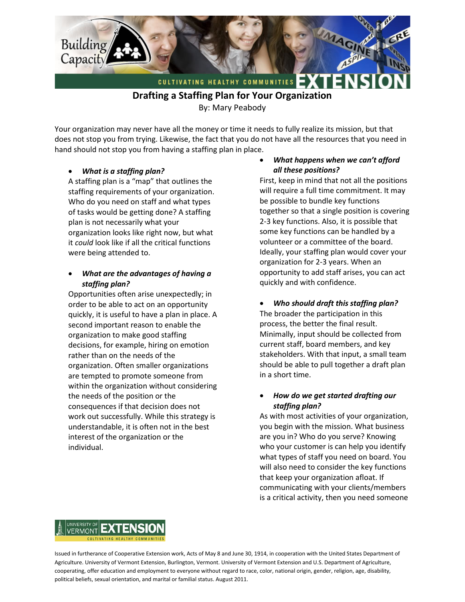

**Drafting a Staffing Plan for Your Organization** 

By: Mary Peabody

Your organization may never have all the money or time it needs to fully realize its mission, but that does not stop you from trying. Likewise, the fact that you do not have all the resources that you need in hand should not stop you from having a staffing plan in place.

## • *What is a staffing plan?*

A staffing plan is a "map" that outlines the staffing requirements of your organization. Who do you need on staff and what types of tasks would be getting done? A staffing plan is not necessarily what your organization looks like right now, but what it *could* look like if all the critical functions were being attended to.

## • *What are the advantages of having a staffing plan?*

Opportunities often arise unexpectedly; in order to be able to act on an opportunity quickly, it is useful to have a plan in place. A second important reason to enable the organization to make good staffing decisions, for example, hiring on emotion rather than on the needs of the organization. Often smaller organizations are tempted to promote someone from within the organization without considering the needs of the position or the consequences if that decision does not work out successfully. While this strategy is understandable, it is often not in the best interest of the organization or the individual.

### • *What happens when we can't afford all these positions?*

First, keep in mind that not all the positions will require a full time commitment. It may be possible to bundle key functions together so that a single position is covering 2-3 key functions. Also, it is possible that some key functions can be handled by a volunteer or a committee of the board. Ideally, your staffing plan would cover your organization for 2-3 years. When an opportunity to add staff arises, you can act quickly and with confidence.

• *Who should draft this staffing plan?* The broader the participation in this process, the better the final result. Minimally, input should be collected from current staff, board members, and key stakeholders. With that input, a small team should be able to pull together a draft plan in a short time.

## • *How do we get started drafting our staffing plan?*

As with most activities of your organization, you begin with the mission. What business are you in? Who do you serve? Knowing who your customer is can help you identify what types of staff you need on board. You will also need to consider the key functions that keep your organization afloat. If communicating with your clients/members is a critical activity, then you need someone



Issued in furtherance of Cooperative Extension work, Acts of May 8 and June 30, 1914, in cooperation with the United States Department of Agriculture. University of Vermont Extension, Burlington, Vermont. University of Vermont Extension and U.S. Department of Agriculture, cooperating, offer education and employment to everyone without regard to race, color, national origin, gender, religion, age, disability, political beliefs, sexual orientation, and marital or familial status. August 2011.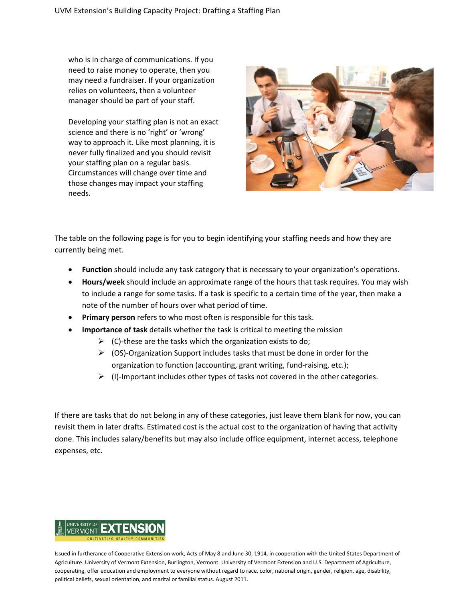who is in charge of communications. If you need to raise money to operate, then you may need a fundraiser. If your organization relies on volunteers, then a volunteer manager should be part of your staff.

Developing your staffing plan is not an exact science and there is no 'right' or 'wrong' way to approach it. Like most planning, it is never fully finalized and you should revisit your staffing plan on a regular basis. Circumstances will change over time and those changes may impact your staffing needs.



The table on the following page is for you to begin identifying your staffing needs and how they are currently being met.

- **Function** should include any task category that is necessary to your organization's operations.
- **Hours/week** should include an approximate range of the hours that task requires. You may wish to include a range for some tasks. If a task is specific to a certain time of the year, then make a note of the number of hours over what period of time.
- **Primary person** refers to who most often is responsible for this task.
- **Importance of task** details whether the task is critical to meeting the mission
	- $\triangleright$  (C)-these are the tasks which the organization exists to do;
	- $\triangleright$  (OS)-Organization Support includes tasks that must be done in order for the organization to function (accounting, grant writing, fund-raising, etc.);
	- $\triangleright$  (I)-Important includes other types of tasks not covered in the other categories.

If there are tasks that do not belong in any of these categories, just leave them blank for now, you can revisit them in later drafts. Estimated cost is the actual cost to the organization of having that activity done. This includes salary/benefits but may also include office equipment, internet access, telephone expenses, etc.



Issued in furtherance of Cooperative Extension work, Acts of May 8 and June 30, 1914, in cooperation with the United States Department of Agriculture. University of Vermont Extension, Burlington, Vermont. University of Vermont Extension and U.S. Department of Agriculture, cooperating, offer education and employment to everyone without regard to race, color, national origin, gender, religion, age, disability, political beliefs, sexual orientation, and marital or familial status. August 2011.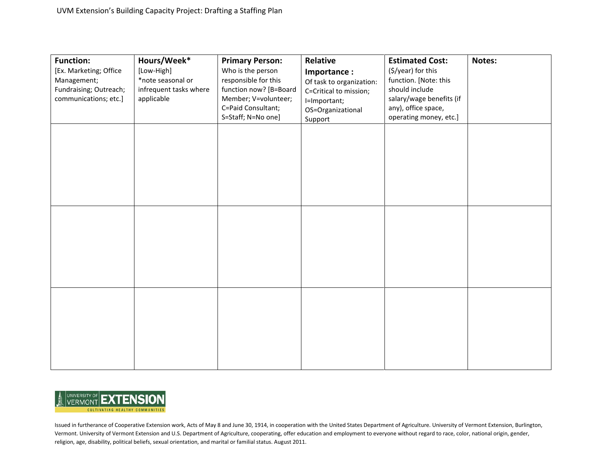| <b>Function:</b>       | Hours/Week*            | <b>Primary Person:</b> | Relative                 | <b>Estimated Cost:</b>   | Notes: |
|------------------------|------------------------|------------------------|--------------------------|--------------------------|--------|
| [Ex. Marketing; Office | [Low-High]             | Who is the person      | Importance:              | (\$/year) for this       |        |
| Management;            | *note seasonal or      | responsible for this   | Of task to organization: | function. [Note: this    |        |
| Fundraising; Outreach; | infrequent tasks where | function now? [B=Board | C=Critical to mission;   | should include           |        |
| communications; etc.]  | applicable             | Member; V=volunteer;   | I=Important;             | salary/wage benefits (if |        |
|                        |                        | C=Paid Consultant;     | OS=Organizational        | any), office space,      |        |
|                        |                        | S=Staff; N=No one]     | Support                  | operating money, etc.]   |        |
|                        |                        |                        |                          |                          |        |
|                        |                        |                        |                          |                          |        |
|                        |                        |                        |                          |                          |        |
|                        |                        |                        |                          |                          |        |
|                        |                        |                        |                          |                          |        |
|                        |                        |                        |                          |                          |        |
|                        |                        |                        |                          |                          |        |
|                        |                        |                        |                          |                          |        |
|                        |                        |                        |                          |                          |        |
|                        |                        |                        |                          |                          |        |
|                        |                        |                        |                          |                          |        |
|                        |                        |                        |                          |                          |        |
|                        |                        |                        |                          |                          |        |
|                        |                        |                        |                          |                          |        |
|                        |                        |                        |                          |                          |        |
|                        |                        |                        |                          |                          |        |
|                        |                        |                        |                          |                          |        |
|                        |                        |                        |                          |                          |        |
|                        |                        |                        |                          |                          |        |
|                        |                        |                        |                          |                          |        |
|                        |                        |                        |                          |                          |        |
|                        |                        |                        |                          |                          |        |
|                        |                        |                        |                          |                          |        |
|                        |                        |                        |                          |                          |        |
|                        |                        |                        |                          |                          |        |
|                        |                        |                        |                          |                          |        |



Issued in furtherance of Cooperative Extension work, Acts of May 8 and June 30, 1914, in cooperation with the United States Department of Agriculture. University of Vermont Extension, Burlington, Vermont. University of Vermont Extension and U.S. Department of Agriculture, cooperating, offer education and employment to everyone without regard to race, color, national origin, gender, religion, age, disability, political beliefs, sexual orientation, and marital or familial status. August 2011.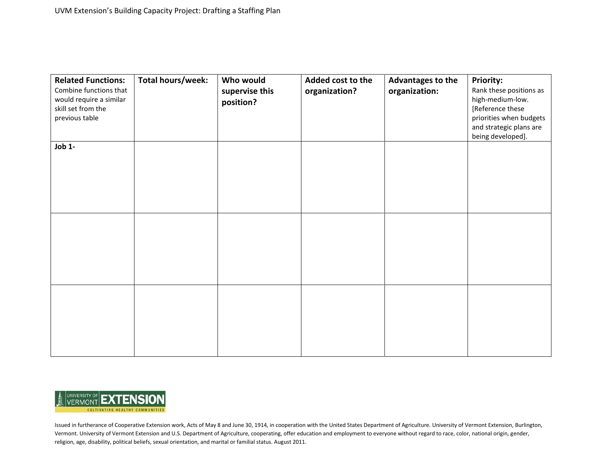| <b>Related Functions:</b><br>Combine functions that<br>would require a similar<br>skill set from the<br>previous table | Total hours/week: | Who would<br>supervise this<br>position? | Added cost to the<br>organization? | Advantages to the<br>organization: | <b>Priority:</b><br>Rank these positions as<br>high-medium-low.<br>[Reference these<br>priorities when budgets<br>and strategic plans are<br>being developed]. |
|------------------------------------------------------------------------------------------------------------------------|-------------------|------------------------------------------|------------------------------------|------------------------------------|----------------------------------------------------------------------------------------------------------------------------------------------------------------|
| Job 1-                                                                                                                 |                   |                                          |                                    |                                    |                                                                                                                                                                |
|                                                                                                                        |                   |                                          |                                    |                                    |                                                                                                                                                                |
|                                                                                                                        |                   |                                          |                                    |                                    |                                                                                                                                                                |



Issued in furtherance of Cooperative Extension work, Acts of May 8 and June 30, 1914, in cooperation with the United States Department of Agriculture. University of Vermont Extension, Burlington, Vermont. University of Vermont Extension and U.S. Department of Agriculture, cooperating, offer education and employment to everyone without regard to race, color, national origin, gender, religion, age, disability, political beliefs, sexual orientation, and marital or familial status. August 2011.